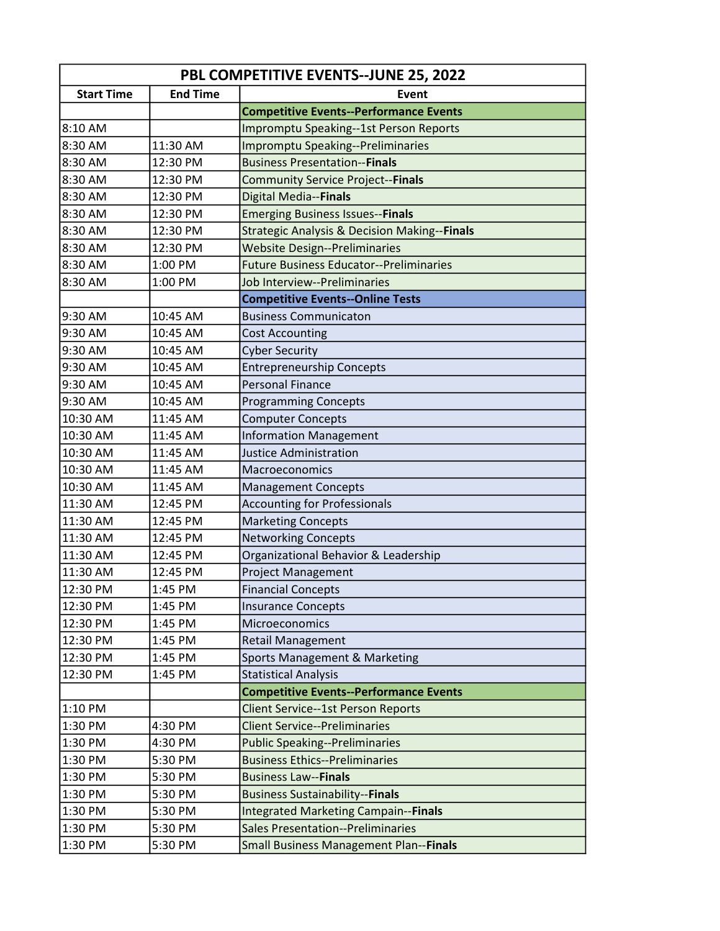| <b>PBL COMPETITIVE EVENTS--JUNE 25, 2022</b> |                 |                                                         |  |
|----------------------------------------------|-----------------|---------------------------------------------------------|--|
| <b>Start Time</b>                            | <b>End Time</b> | Event                                                   |  |
|                                              |                 | <b>Competitive Events--Performance Events</b>           |  |
| 8:10 AM                                      |                 | Impromptu Speaking--1st Person Reports                  |  |
| 8:30 AM                                      | 11:30 AM        | <b>Impromptu Speaking--Preliminaries</b>                |  |
| 8:30 AM                                      | 12:30 PM        | <b>Business Presentation--Finals</b>                    |  |
| 8:30 AM                                      | 12:30 PM        | <b>Community Service Project--Finals</b>                |  |
| 8:30 AM                                      | 12:30 PM        | Digital Media--Finals                                   |  |
| 8:30 AM                                      | 12:30 PM        | <b>Emerging Business Issues--Finals</b>                 |  |
| 8:30 AM                                      | 12:30 PM        | <b>Strategic Analysis &amp; Decision Making--Finals</b> |  |
| 8:30 AM                                      | 12:30 PM        | <b>Website Design--Preliminaries</b>                    |  |
| 8:30 AM                                      | 1:00 PM         | <b>Future Business Educator--Preliminaries</b>          |  |
| 8:30 AM                                      | 1:00 PM         | Job Interview--Preliminaries                            |  |
|                                              |                 | <b>Competitive Events--Online Tests</b>                 |  |
| 9:30 AM                                      | 10:45 AM        | <b>Business Communicaton</b>                            |  |
| 9:30 AM                                      | 10:45 AM        | <b>Cost Accounting</b>                                  |  |
| 9:30 AM                                      | 10:45 AM        | <b>Cyber Security</b>                                   |  |
| 9:30 AM                                      | 10:45 AM        | <b>Entrepreneurship Concepts</b>                        |  |
| 9:30 AM                                      | 10:45 AM        | <b>Personal Finance</b>                                 |  |
| 9:30 AM                                      | 10:45 AM        | <b>Programming Concepts</b>                             |  |
| 10:30 AM                                     | 11:45 AM        | <b>Computer Concepts</b>                                |  |
| 10:30 AM                                     | 11:45 AM        | <b>Information Management</b>                           |  |
| 10:30 AM                                     | 11:45 AM        | <b>Justice Administration</b>                           |  |
| 10:30 AM                                     | 11:45 AM        | Macroeconomics                                          |  |
| 10:30 AM                                     | 11:45 AM        | <b>Management Concepts</b>                              |  |
| 11:30 AM                                     | 12:45 PM        | <b>Accounting for Professionals</b>                     |  |
| 11:30 AM                                     | 12:45 PM        | <b>Marketing Concepts</b>                               |  |
| 11:30 AM                                     | 12:45 PM        | <b>Networking Concepts</b>                              |  |
| 11:30 AM                                     | 12:45 PM        | Organizational Behavior & Leadership                    |  |
| 11:30 AM                                     | 12:45 PM        | <b>Project Management</b>                               |  |
| 12:30 PM                                     | 1:45 PM         | <b>Financial Concepts</b>                               |  |
| 12:30 PM                                     | 1:45 PM         | <b>Insurance Concepts</b>                               |  |
| 12:30 PM                                     | 1:45 PM         | Microeconomics                                          |  |
| 12:30 PM                                     | 1:45 PM         | <b>Retail Management</b>                                |  |
| 12:30 PM                                     | 1:45 PM         | Sports Management & Marketing                           |  |
| 12:30 PM                                     | 1:45 PM         | <b>Statistical Analysis</b>                             |  |
|                                              |                 | <b>Competitive Events--Performance Events</b>           |  |
| 1:10 PM                                      |                 | <b>Client Service--1st Person Reports</b>               |  |
| 1:30 PM                                      | 4:30 PM         | <b>Client Service--Preliminaries</b>                    |  |
| 1:30 PM                                      | 4:30 PM         | <b>Public Speaking--Preliminaries</b>                   |  |
| 1:30 PM                                      | 5:30 PM         | <b>Business Ethics--Preliminaries</b>                   |  |
| 1:30 PM                                      | 5:30 PM         | <b>Business Law--Finals</b>                             |  |
| 1:30 PM                                      | 5:30 PM         | <b>Business Sustainability--Finals</b>                  |  |
| 1:30 PM                                      | 5:30 PM         | <b>Integrated Marketing Campain--Finals</b>             |  |
| 1:30 PM                                      | 5:30 PM         | <b>Sales Presentation--Preliminaries</b>                |  |
| 1:30 PM                                      | 5:30 PM         | <b>Small Business Management Plan--Finals</b>           |  |